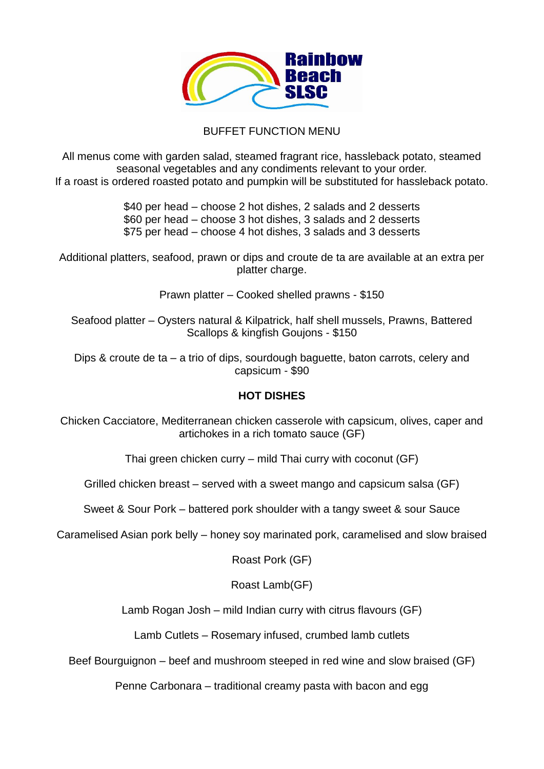

## BUFFET FUNCTION MENU

All menus come with garden salad, steamed fragrant rice, hassleback potato, steamed seasonal vegetables and any condiments relevant to your order. If a roast is ordered roasted potato and pumpkin will be substituted for hassleback potato.

> \$40 per head – choose 2 hot dishes, 2 salads and 2 desserts \$60 per head – choose 3 hot dishes, 3 salads and 2 desserts \$75 per head – choose 4 hot dishes, 3 salads and 3 desserts

Additional platters, seafood, prawn or dips and croute de ta are available at an extra per platter charge.

Prawn platter – Cooked shelled prawns - \$150

Seafood platter – Oysters natural & Kilpatrick, half shell mussels, Prawns, Battered Scallops & kingfish Goujons - \$150

Dips & croute de ta – a trio of dips, sourdough baguette, baton carrots, celery and capsicum - \$90

## **HOT DISHES**

Chicken Cacciatore, Mediterranean chicken casserole with capsicum, olives, caper and artichokes in a rich tomato sauce (GF)

Thai green chicken curry – mild Thai curry with coconut (GF)

Grilled chicken breast – served with a sweet mango and capsicum salsa (GF)

Sweet & Sour Pork – battered pork shoulder with a tangy sweet & sour Sauce

Caramelised Asian pork belly – honey soy marinated pork, caramelised and slow braised

Roast Pork (GF)

Roast Lamb(GF)

Lamb Rogan Josh – mild Indian curry with citrus flavours (GF)

Lamb Cutlets – Rosemary infused, crumbed lamb cutlets

Beef Bourguignon – beef and mushroom steeped in red wine and slow braised (GF)

Penne Carbonara – traditional creamy pasta with bacon and egg